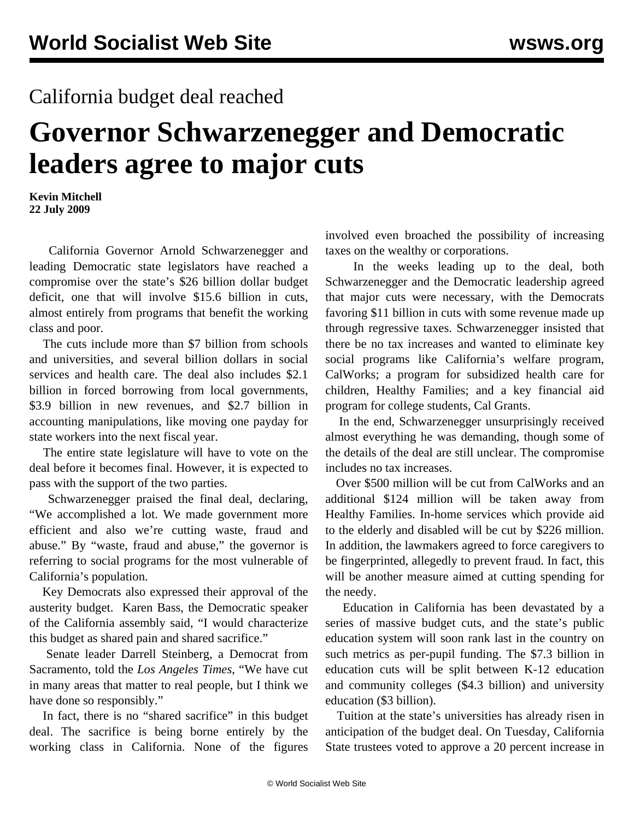## California budget deal reached

## **Governor Schwarzenegger and Democratic leaders agree to major cuts**

**Kevin Mitchell 22 July 2009**

 California Governor Arnold Schwarzenegger and leading Democratic state legislators have reached a compromise over the state's \$26 billion dollar budget deficit, one that will involve \$15.6 billion in cuts, almost entirely from programs that benefit the working class and poor.

 The cuts include more than \$7 billion from schools and universities, and several billion dollars in social services and health care. The deal also includes \$2.1 billion in forced borrowing from local governments, \$3.9 billion in new revenues, and \$2.7 billion in accounting manipulations, like moving one payday for state workers into the next fiscal year.

 The entire state legislature will have to vote on the deal before it becomes final. However, it is expected to pass with the support of the two parties.

 Schwarzenegger praised the final deal, declaring, "We accomplished a lot. We made government more efficient and also we're cutting waste, fraud and abuse." By "waste, fraud and abuse," the governor is referring to social programs for the most vulnerable of California's population.

 Key Democrats also expressed their approval of the austerity budget. Karen Bass, the Democratic speaker of the California assembly said, "I would characterize this budget as shared pain and shared sacrifice."

 Senate leader Darrell Steinberg, a Democrat from Sacramento, told the *Los Angeles Times*, "We have cut in many areas that matter to real people, but I think we have done so responsibly."

 In fact, there is no "shared sacrifice" in this budget deal. The sacrifice is being borne entirely by the working class in California. None of the figures

involved even broached the possibility of increasing taxes on the wealthy or corporations.

 In the weeks leading up to the deal, both Schwarzenegger and the Democratic leadership agreed that major cuts were necessary, with the Democrats favoring \$11 billion in cuts with some revenue made up through regressive taxes. Schwarzenegger insisted that there be no tax increases and wanted to eliminate key social programs like California's welfare program, CalWorks; a program for subsidized health care for children, Healthy Families; and a key financial aid program for college students, Cal Grants.

 In the end, Schwarzenegger unsurprisingly received almost everything he was demanding, though some of the details of the deal are still unclear. The compromise includes no tax increases.

 Over \$500 million will be cut from CalWorks and an additional \$124 million will be taken away from Healthy Families. In-home services which provide aid to the elderly and disabled will be cut by \$226 million. In addition, the lawmakers agreed to force caregivers to be fingerprinted, allegedly to prevent fraud. In fact, this will be another measure aimed at cutting spending for the needy.

 Education in California has been devastated by a series of massive budget cuts, and the state's public education system will soon rank last in the country on such metrics as per-pupil funding. The \$7.3 billion in education cuts will be split between K-12 education and community colleges (\$4.3 billion) and university education (\$3 billion).

 Tuition at the state's universities has already risen in anticipation of the budget deal. On Tuesday, California State trustees voted to approve a 20 percent increase in